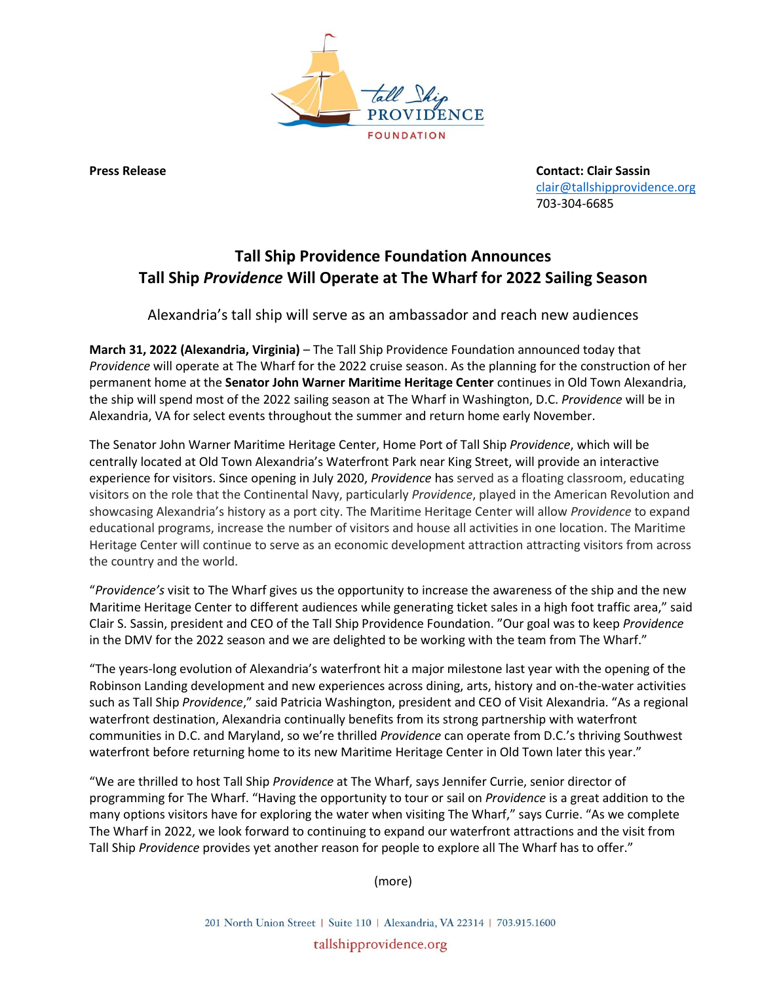

**Press Release Contact: Clair Sassin** [clair@tallshipprovidence.org](mailto:clair@tallshipprovidence.org) 703-304-6685

## **Tall Ship Providence Foundation Announces Tall Ship** *Providence* **Will Operate at The Wharf for 2022 Sailing Season**

Alexandria's tall ship will serve as an ambassador and reach new audiences

**March 31, 2022 (Alexandria, Virginia)** – The Tall Ship Providence Foundation announced today that *Providence* will operate at The Wharf for the 2022 cruise season. As the planning for the construction of her permanent home at the **Senator John Warner Maritime Heritage Center** continues in Old Town Alexandria, the ship will spend most of the 2022 sailing season at The Wharf in Washington, D.C. *Providence* will be in Alexandria, VA for select events throughout the summer and return home early November.

The Senator John Warner Maritime Heritage Center, Home Port of Tall Ship *Providence*, which will be centrally located at Old Town Alexandria's Waterfront Park near King Street, will provide an interactive experience for visitors. Since opening in July 2020, *Providence* has served as a floating classroom, educating visitors on the role that the Continental Navy, particularly *Providence*, played in the American Revolution and showcasing Alexandria's history as a port city. The Maritime Heritage Center will allow *Providence* to expand educational programs, increase the number of visitors and house all activities in one location. The Maritime Heritage Center will continue to serve as an economic development attraction attracting visitors from across the country and the world.

"*Providence's* visit to The Wharf gives us the opportunity to increase the awareness of the ship and the new Maritime Heritage Center to different audiences while generating ticket sales in a high foot traffic area," said Clair S. Sassin, president and CEO of the Tall Ship Providence Foundation. "Our goal was to keep *Providence* in the DMV for the 2022 season and we are delighted to be working with the team from The Wharf."

"The years-long evolution of Alexandria's waterfront hit a major milestone last year with the opening of the Robinson Landing development and new experiences across dining, arts, history and on-the-water activities such as Tall Ship *Providence*," said Patricia Washington, president and CEO of Visit Alexandria. "As a regional waterfront destination, Alexandria continually benefits from its strong partnership with waterfront communities in D.C. and Maryland, so we're thrilled *Providence* can operate from D.C.'s thriving Southwest waterfront before returning home to its new Maritime Heritage Center in Old Town later this year."

"We are thrilled to host Tall Ship *Providence* at The Wharf, says Jennifer Currie, senior director of programming for The Wharf. "Having the opportunity to tour or sail on *Providence* is a great addition to the many options visitors have for exploring the water when visiting The Wharf," says Currie. "As we complete The Wharf in 2022, we look forward to continuing to expand our waterfront attractions and the visit from Tall Ship *Providence* provides yet another reason for people to explore all The Wharf has to offer."

(more)

201 North Union Street | Suite 110 | Alexandria, VA 22314 | 703.915.1600 tallshipprovidence.org